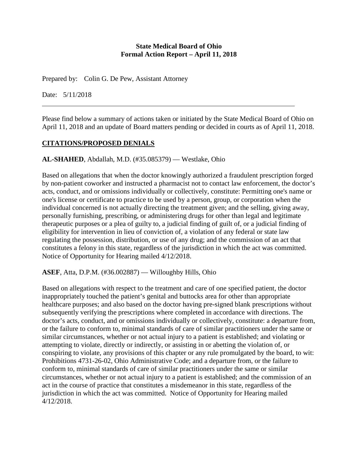#### **State Medical Board of Ohio Formal Action Report – April 11, 2018**

Prepared by: Colin G. De Pew, Assistant Attorney

Date: 5/11/2018

Please find below a summary of actions taken or initiated by the State Medical Board of Ohio on April 11, 2018 and an update of Board matters pending or decided in courts as of April 11, 2018.

## **CITATIONS/PROPOSED DENIALS**

### **AL-SHAHED**, Abdallah, M.D. (#35.085379) — Westlake, Ohio

Based on allegations that when the doctor knowingly authorized a fraudulent prescription forged by non-patient coworker and instructed a pharmacist not to contact law enforcement, the doctor's acts, conduct, and or omissions individually or collectively, constitute: Permitting one's name or one's license or certificate to practice to be used by a person, group, or corporation when the individual concerned is not actually directing the treatment given; and the selling, giving away, personally furnishing, prescribing, or administering drugs for other than legal and legitimate therapeutic purposes or a plea of guilty to, a judicial finding of guilt of, or a judicial finding of eligibility for intervention in lieu of conviction of, a violation of any federal or state law regulating the possession, distribution, or use of any drug; and the commission of an act that constitutes a felony in this state, regardless of the jurisdiction in which the act was committed. Notice of Opportunity for Hearing mailed 4/12/2018.

**ASEF**, Atta, D.P.M. (#36.002887) — Willoughby Hills, Ohio

Based on allegations with respect to the treatment and care of one specified patient, the doctor inappropriately touched the patient's genital and buttocks area for other than appropriate healthcare purposes; and also based on the doctor having pre-signed blank prescriptions without subsequently verifying the prescriptions where completed in accordance with directions. The doctor's acts, conduct, and or omissions individually or collectively, constitute: a departure from, or the failure to conform to, minimal standards of care of similar practitioners under the same or similar circumstances, whether or not actual injury to a patient is established; and violating or attempting to violate, directly or indirectly, or assisting in or abetting the violation of, or conspiring to violate, any provisions of this chapter or any rule promulgated by the board, to wit: Prohibitions 4731-26-02, Ohio Administrative Code; and a departure from, or the failure to conform to, minimal standards of care of similar practitioners under the same or similar circumstances, whether or not actual injury to a patient is established; and the commission of an act in the course of practice that constitutes a misdemeanor in this state, regardless of the jurisdiction in which the act was committed. Notice of Opportunity for Hearing mailed 4/12/2018.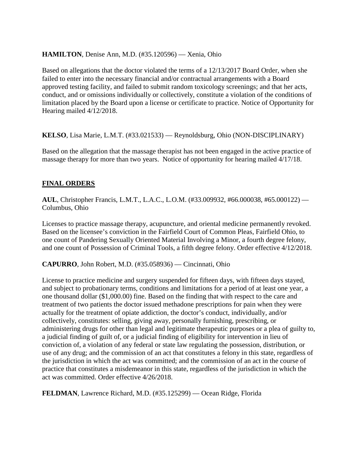#### **HAMILTON**, Denise Ann, M.D. (#35.120596) — Xenia, Ohio

Based on allegations that the doctor violated the terms of a 12/13/2017 Board Order, when she failed to enter into the necessary financial and/or contractual arrangements with a Board approved testing facility, and failed to submit random toxicology screenings; and that her acts, conduct, and or omissions individually or collectively, constitute a violation of the conditions of limitation placed by the Board upon a license or certificate to practice. Notice of Opportunity for Hearing mailed 4/12/2018.

**KELSO**, Lisa Marie, L.M.T. (#33.021533) — Reynoldsburg, Ohio (NON-DISCIPLINARY)

Based on the allegation that the massage therapist has not been engaged in the active practice of massage therapy for more than two years. Notice of opportunity for hearing mailed 4/17/18.

### **FINAL ORDERS**

**AUL**, Christopher Francis, L.M.T., L.A.C., L.O.M. (#33.009932, #66.000038, #65.000122) — Columbus, Ohio

Licenses to practice massage therapy, acupuncture, and oriental medicine permanently revoked. Based on the licensee's conviction in the Fairfield Court of Common Pleas, Fairfield Ohio, to one count of Pandering Sexually Oriented Material Involving a Minor, a fourth degree felony, and one count of Possession of Criminal Tools, a fifth degree felony. Order effective 4/12/2018.

**CAPURRO**, John Robert, M.D. (#35.058936) — Cincinnati, Ohio

License to practice medicine and surgery suspended for fifteen days, with fifteen days stayed, and subject to probationary terms, conditions and limitations for a period of at least one year, a one thousand dollar (\$1,000.00) fine. Based on the finding that with respect to the care and treatment of two patients the doctor issued methadone prescriptions for pain when they were actually for the treatment of opiate addiction, the doctor's conduct, individually, and/or collectively, constitutes: selling, giving away, personally furnishing, prescribing, or administering drugs for other than legal and legitimate therapeutic purposes or a plea of guilty to, a judicial finding of guilt of, or a judicial finding of eligibility for intervention in lieu of conviction of, a violation of any federal or state law regulating the possession, distribution, or use of any drug; and the commission of an act that constitutes a felony in this state, regardless of the jurisdiction in which the act was committed; and the commission of an act in the course of practice that constitutes a misdemeanor in this state, regardless of the jurisdiction in which the act was committed. Order effective 4/26/2018.

**FELDMAN**, Lawrence Richard, M.D. (#35.125299) — Ocean Ridge, Florida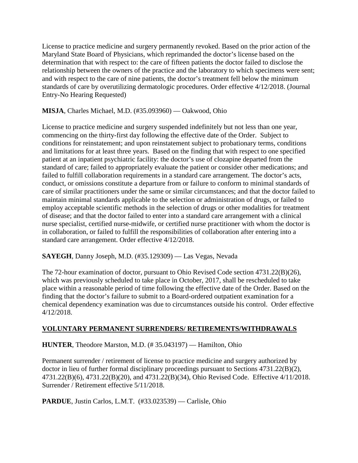License to practice medicine and surgery permanently revoked. Based on the prior action of the Maryland State Board of Physicians, which reprimanded the doctor's license based on the determination that with respect to: the care of fifteen patients the doctor failed to disclose the relationship between the owners of the practice and the laboratory to which specimens were sent; and with respect to the care of nine patients, the doctor's treatment fell below the minimum standards of care by overutilizing dermatologic procedures. Order effective 4/12/2018. (Journal Entry-No Hearing Requested)

### **MISJA**, Charles Michael, M.D. (#35.093960) — Oakwood, Ohio

License to practice medicine and surgery suspended indefinitely but not less than one year, commencing on the thirty-first day following the effective date of the Order. Subject to conditions for reinstatement; and upon reinstatement subject to probationary terms, conditions and limitations for at least three years. Based on the finding that with respect to one specified patient at an inpatient psychiatric facility: the doctor's use of clozapine departed from the standard of care; failed to appropriately evaluate the patient or consider other medications; and failed to fulfill collaboration requirements in a standard care arrangement. The doctor's acts, conduct, or omissions constitute a departure from or failure to conform to minimal standards of care of similar practitioners under the same or similar circumstances; and that the doctor failed to maintain minimal standards applicable to the selection or administration of drugs, or failed to employ acceptable scientific methods in the selection of drugs or other modalities for treatment of disease; and that the doctor failed to enter into a standard care arrangement with a clinical nurse specialist, certified nurse-midwife, or certified nurse practitioner with whom the doctor is in collaboration, or failed to fulfill the responsibilities of collaboration after entering into a standard care arrangement. Order effective 4/12/2018.

### **SAYEGH**, Danny Joseph, M.D. (#35.129309) — Las Vegas, Nevada

The 72-hour examination of doctor, pursuant to Ohio Revised Code section 4731.22(B)(26), which was previously scheduled to take place in October, 2017, shall be rescheduled to take place within a reasonable period of time following the effective date of the Order. Based on the finding that the doctor's failure to submit to a Board-ordered outpatient examination for a chemical dependency examination was due to circumstances outside his control. Order effective 4/12/2018.

### **VOLUNTARY PERMANENT SURRENDERS/ RETIREMENTS/WITHDRAWALS**

**HUNTER**, Theodore Marston, M.D. (# 35.043197) — Hamilton, Ohio

Permanent surrender / retirement of license to practice medicine and surgery authorized by doctor in lieu of further formal disciplinary proceedings pursuant to Sections 4731.22(B)(2), 4731.22(B)(6), 4731.22(B)(20), and 4731.22(B)(34), Ohio Revised Code. Effective 4/11/2018. Surrender / Retirement effective 5/11/2018.

**PARDUE**, Justin Carlos, L.M.T. (#33.023539) — Carlisle, Ohio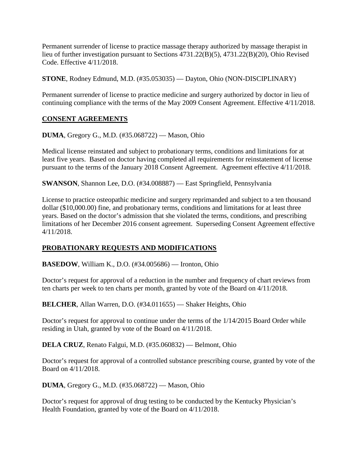Permanent surrender of license to practice massage therapy authorized by massage therapist in lieu of further investigation pursuant to Sections 4731.22(B)(5), 4731.22(B)(20), Ohio Revised Code. Effective 4/11/2018.

**STONE**, Rodney Edmund, M.D. (#35.053035) — Dayton, Ohio (NON-DISCIPLINARY)

Permanent surrender of license to practice medicine and surgery authorized by doctor in lieu of continuing compliance with the terms of the May 2009 Consent Agreement. Effective 4/11/2018.

# **CONSENT AGREEMENTS**

**DUMA**, Gregory G., M.D. (#35.068722) — Mason, Ohio

Medical license reinstated and subject to probationary terms, conditions and limitations for at least five years. Based on doctor having completed all requirements for reinstatement of license pursuant to the terms of the January 2018 Consent Agreement. Agreement effective 4/11/2018.

**SWANSON**, Shannon Lee, D.O. (#34.008887) — East Springfield, Pennsylvania

License to practice osteopathic medicine and surgery reprimanded and subject to a ten thousand dollar (\$10,000.00) fine, and probationary terms, conditions and limitations for at least three years. Based on the doctor's admission that she violated the terms, conditions, and prescribing limitations of her December 2016 consent agreement. Superseding Consent Agreement effective 4/11/2018.

# **PROBATIONARY REQUESTS AND MODIFICATIONS**

**BASEDOW**, William K., D.O. (#34.005686) — Ironton, Ohio

Doctor's request for approval of a reduction in the number and frequency of chart reviews from ten charts per week to ten charts per month, granted by vote of the Board on 4/11/2018.

**BELCHER**, Allan Warren, D.O. (#34.011655) — Shaker Heights, Ohio

Doctor's request for approval to continue under the terms of the 1/14/2015 Board Order while residing in Utah, granted by vote of the Board on 4/11/2018.

**DELA CRUZ**, Renato Falgui, M.D. (#35.060832) — Belmont, Ohio

Doctor's request for approval of a controlled substance prescribing course, granted by vote of the Board on 4/11/2018.

**DUMA**, Gregory G., M.D. (#35.068722) — Mason, Ohio

Doctor's request for approval of drug testing to be conducted by the Kentucky Physician's Health Foundation, granted by vote of the Board on 4/11/2018.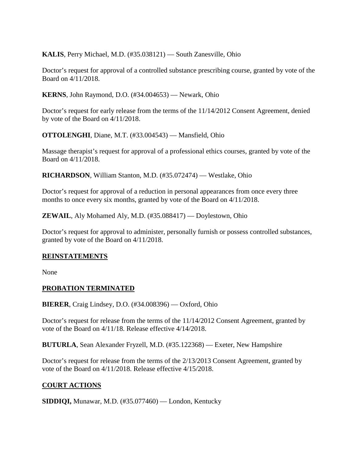**KALIS**, Perry Michael, M.D. (#35.038121) — South Zanesville, Ohio

Doctor's request for approval of a controlled substance prescribing course, granted by vote of the Board on 4/11/2018.

**KERNS**, John Raymond, D.O. (#34.004653) — Newark, Ohio

Doctor's request for early release from the terms of the 11/14/2012 Consent Agreement, denied by vote of the Board on 4/11/2018.

**OTTOLENGHI**, Diane, M.T. (#33.004543) — Mansfield, Ohio

Massage therapist's request for approval of a professional ethics courses, granted by vote of the Board on 4/11/2018.

**RICHARDSON**, William Stanton, M.D. (#35.072474) — Westlake, Ohio

Doctor's request for approval of a reduction in personal appearances from once every three months to once every six months, granted by vote of the Board on 4/11/2018.

**ZEWAIL**, Aly Mohamed Aly, M.D. (#35.088417) — Doylestown, Ohio

Doctor's request for approval to administer, personally furnish or possess controlled substances, granted by vote of the Board on 4/11/2018.

#### **REINSTATEMENTS**

None

#### **PROBATION TERMINATED**

**BIERER**, Craig Lindsey, D.O. (#34.008396) — Oxford, Ohio

Doctor's request for release from the terms of the 11/14/2012 Consent Agreement, granted by vote of the Board on 4/11/18. Release effective 4/14/2018.

**BUTURLA**, Sean Alexander Fryzell, M.D. (#35.122368) — Exeter, New Hampshire

Doctor's request for release from the terms of the 2/13/2013 Consent Agreement, granted by vote of the Board on 4/11/2018. Release effective 4/15/2018.

### **COURT ACTIONS**

**SIDDIQI,** Munawar, M.D. (#35.077460) — London, Kentucky